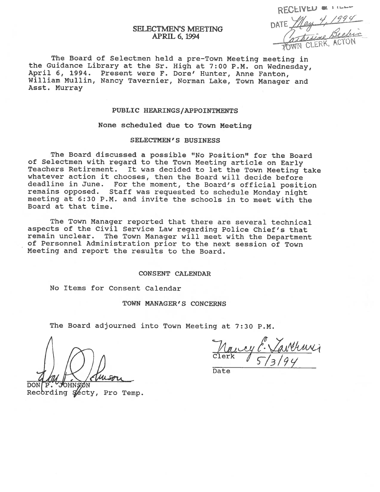# RECEIVED & TILL SELECTMEN'S MEETING<br>APRIL 6, 1994<br>APRIL 6, 1994

# APRIL 6, 1994

The Board of Selectmen held <sup>a</sup> pre-Town Meeting meeting in the Guidance Library at the Sr. High at 7:00 P.M. on Wednesday, April 6, 1994. Present were F. Dore' Hunter, Anne Fanton, William Mullin, Nancy Tavernier, Norman Lake, Town Manager and Asst. Murray

# PUBLIC HEARINGS/APPOINTMENTS

#### None scheduled due to Town Meeting

### SELECTMEN'S BUSINESS

The Board discussed <sup>a</sup> possible "No Position" for the Board of Selectmen with regard to the Town Meeting article on Early Teachers Retirement. It was decided to let the Town Meeting take whatever action it chooses, then the Board will decide before deadline in June. For the moment, the Board's official position remains opposed. Staff was requested to schedule Monday night meeting at 6:30 P.M. and invite the schools in to meet with the Board at that time.

The Town Manager reported that there are several technical aspects of the Civil Service Law regarding Police Chief's that remain unclear. The Town Manager will meet with the Department of Personnel Administration prior to the next session of Town Meeting and report the results to the Board.

#### CONSENT CALENDAR

No Items for Consent Calendar

### TOWN MANAGER'S CONCERNS

The Board adjourned into Town Meeting at 7:30 P.M.

DON P. JOHNSON

<u>Nancy E. Varthur</u>i

Date

Recording Secty, Pro Temp.